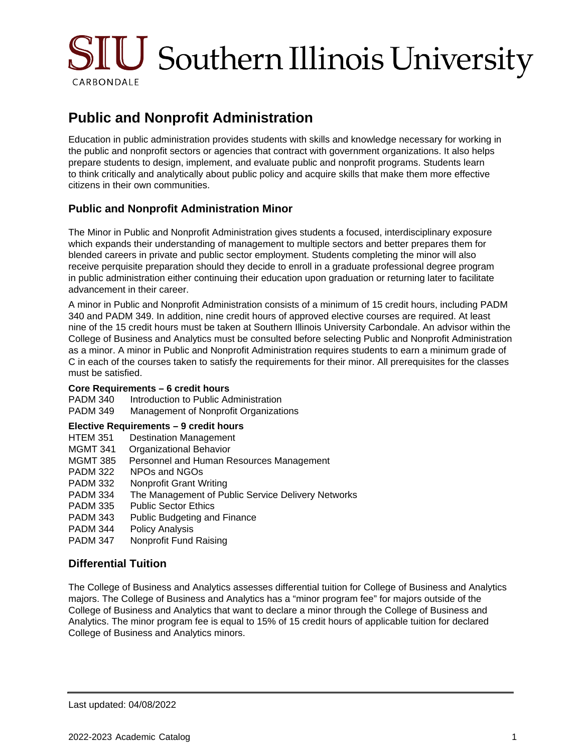

# **Public and Nonprofit Administration**

Education in public administration provides students with skills and knowledge necessary for working in the public and nonprofit sectors or agencies that contract with government organizations. It also helps prepare students to design, implement, and evaluate public and nonprofit programs. Students learn to think critically and analytically about public policy and acquire skills that make them more effective citizens in their own communities.

## **Public and Nonprofit Administration Minor**

The Minor in Public and Nonprofit Administration gives students a focused, interdisciplinary exposure which expands their understanding of management to multiple sectors and better prepares them for blended careers in private and public sector employment. Students completing the minor will also receive perquisite preparation should they decide to enroll in a graduate professional degree program in public administration either continuing their education upon graduation or returning later to facilitate advancement in their career.

A minor in Public and Nonprofit Administration consists of a minimum of 15 credit hours, including PADM 340 and PADM 349. In addition, nine credit hours of approved elective courses are required. At least nine of the 15 credit hours must be taken at Southern Illinois University Carbondale. An advisor within the College of Business and Analytics must be consulted before selecting Public and Nonprofit Administration as a minor. A minor in Public and Nonprofit Administration requires students to earn a minimum grade of C in each of the courses taken to satisfy the requirements for their minor. All prerequisites for the classes must be satisfied.

#### **Core Requirements – 6 credit hours**

| PADM 340        | Introduction to Public Administration |
|-----------------|---------------------------------------|
| <b>PADM 349</b> | Management of Nonprofit Organizations |

#### **Elective Requirements – 9 credit hours**

- HTEM 351 Destination Management
- MGMT 341 Organizational Behavior
- MGMT 385 Personnel and Human Resources Management
- PADM 322 NPOs and NGOs
- PADM 332 Nonprofit Grant Writing
- PADM 334 The Management of Public Service Delivery Networks
- PADM 335 Public Sector Ethics
- PADM 343 Public Budgeting and Finance
- PADM 344 Policy Analysis
- PADM 347 Nonprofit Fund Raising

## **Differential Tuition**

The College of Business and Analytics assesses differential tuition for College of Business and Analytics majors. The College of Business and Analytics has a "minor program fee" for majors outside of the College of Business and Analytics that want to declare a minor through the College of Business and Analytics. The minor program fee is equal to 15% of 15 credit hours of applicable tuition for declared College of Business and Analytics minors.